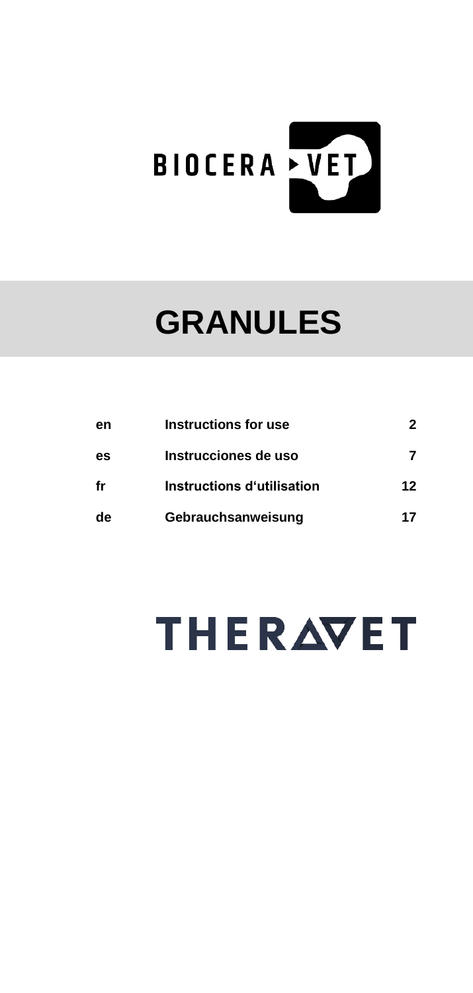

## **GRANULES**

| en | Instructions for use       | 2  |
|----|----------------------------|----|
| es | Instrucciones de uso       | 7  |
| fr | Instructions d'utilisation | 12 |
| de | Gebrauchsanweisung         | 17 |

# **THERAVET**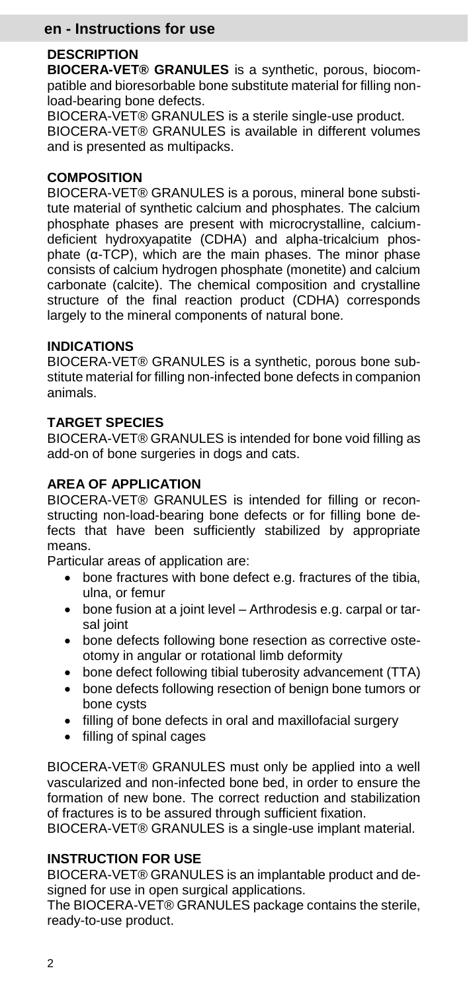#### **en - Instructions for use**

#### **DESCRIPTION**

**BIOCERA-VET® GRANULES** is a synthetic, porous, biocompatible and bioresorbable bone substitute material for filling nonload-bearing bone defects.

BIOCERA-VET® GRANULES is a sterile single-use product. BIOCERA-VET® GRANULES is available in different volumes and is presented as multipacks.

#### **COMPOSITION**

BIOCERA-VET® GRANULES is a porous, mineral bone substitute material of synthetic calcium and phosphates. The calcium phosphate phases are present with microcrystalline, calciumdeficient hydroxyapatite (CDHA) and alpha-tricalcium phosphate (α-TCP), which are the main phases. The minor phase consists of calcium hydrogen phosphate (monetite) and calcium carbonate (calcite). The chemical composition and crystalline structure of the final reaction product (CDHA) corresponds largely to the mineral components of natural bone.

#### **INDICATIONS**

BIOCERA-VET® GRANULES is a synthetic, porous bone substitute material for filling non-infected bone defects in companion animals.

#### **TARGET SPECIES**

BIOCERA-VET® GRANULES is intended for bone void filling as add-on of bone surgeries in dogs and cats.

#### **AREA OF APPLICATION**

BIOCERA-VET® GRANULES is intended for filling or reconstructing non-load-bearing bone defects or for filling bone defects that have been sufficiently stabilized by appropriate means.

Particular areas of application are:

- bone fractures with bone defect e.g. fractures of the tibia, ulna, or femur
- bone fusion at a joint level Arthrodesis e.g. carpal or tarsal joint
- bone defects following bone resection as corrective osteotomy in angular or rotational limb deformity
- bone defect following tibial tuberosity advancement (TTA)
- bone defects following resection of benign bone tumors or bone cysts
- filling of bone defects in oral and maxillofacial surgery
- filling of spinal cages

BIOCERA-VET® GRANULES must only be applied into a well vascularized and non-infected bone bed, in order to ensure the formation of new bone. The correct reduction and stabilization of fractures is to be assured through sufficient fixation.

BIOCERA-VET® GRANULES is a single-use implant material.

#### **INSTRUCTION FOR USE**

BIOCERA-VET® GRANULES is an implantable product and designed for use in open surgical applications.

The BIOCERA-VET® GRANULES package contains the sterile, ready-to-use product.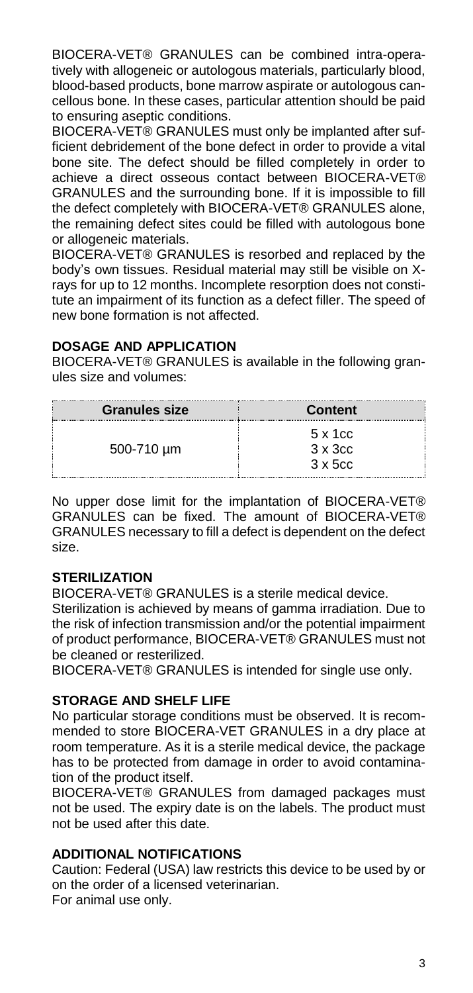BIOCERA-VET® GRANULES can be combined intra-operatively with allogeneic or autologous materials, particularly blood, blood-based products, bone marrow aspirate or autologous cancellous bone. In these cases, particular attention should be paid to ensuring aseptic conditions.

BIOCERA-VET® GRANULES must only be implanted after sufficient debridement of the bone defect in order to provide a vital bone site. The defect should be filled completely in order to achieve a direct osseous contact between BIOCERA-VET® GRANULES and the surrounding bone. If it is impossible to fill the defect completely with BIOCERA-VET® GRANULES alone, the remaining defect sites could be filled with autologous bone or allogeneic materials.

BIOCERA-VET® GRANULES is resorbed and replaced by the body's own tissues. Residual material may still be visible on Xrays for up to 12 months. Incomplete resorption does not constitute an impairment of its function as a defect filler. The speed of new bone formation is not affected.

#### **DOSAGE AND APPLICATION**

BIOCERA-VET® GRANULES is available in the following granules size and volumes:

| <b>Granules size</b> | Content         |
|----------------------|-----------------|
|                      | 5 x 1 cc        |
| 500-710 um           | $3 \times 3$ cc |
|                      | $3 \times 5$ cc |

No upper dose limit for the implantation of BIOCERA-VET® GRANULES can be fixed. The amount of BIOCERA-VET® GRANULES necessary to fill a defect is dependent on the defect size.

#### **STERILIZATION**

BIOCERA-VET® GRANULES is a sterile medical device.

Sterilization is achieved by means of gamma irradiation. Due to the risk of infection transmission and/or the potential impairment of product performance, BIOCERA-VET® GRANULES must not be cleaned or resterilized.

BIOCERA-VET® GRANULES is intended for single use only.

#### **STORAGE AND SHELF LIFE**

No particular storage conditions must be observed. It is recommended to store BIOCERA-VET GRANULES in a dry place at room temperature. As it is a sterile medical device, the package has to be protected from damage in order to avoid contamination of the product itself.

BIOCERA-VET® GRANULES from damaged packages must not be used. The expiry date is on the labels. The product must not be used after this date.

#### **ADDITIONAL NOTIFICATIONS**

Caution: Federal (USA) law restricts this device to be used by or on the order of a licensed veterinarian. For animal use only.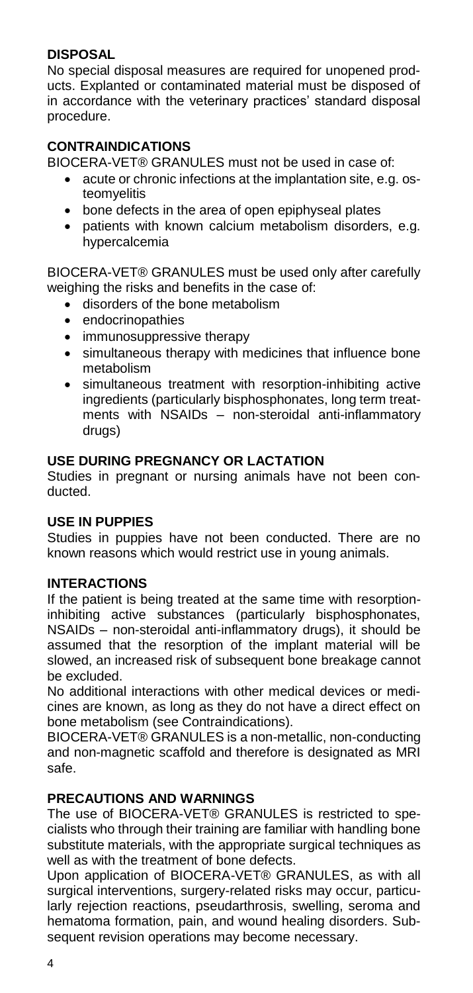#### **DISPOSAL**

No special disposal measures are required for unopened products. Explanted or contaminated material must be disposed of in accordance with the veterinary practices' standard disposal procedure.

#### **CONTRAINDICATIONS**

BIOCERA-VET® GRANULES must not be used in case of:

- acute or chronic infections at the implantation site, e.g. osteomyelitis
- bone defects in the area of open epiphyseal plates
- patients with known calcium metabolism disorders, e.g. hypercalcemia

BIOCERA-VET® GRANULES must be used only after carefully weighing the risks and benefits in the case of:

- disorders of the bone metabolism
- endocrinopathies
- immunosuppressive therapy
- simultaneous therapy with medicines that influence bone metabolism
- simultaneous treatment with resorption-inhibiting active ingredients (particularly bisphosphonates, long term treatments with NSAIDs – non-steroidal anti-inflammatory drugs)

#### **USE DURING PREGNANCY OR LACTATION**

Studies in pregnant or nursing animals have not been conducted.

#### **USE IN PUPPIES**

Studies in puppies have not been conducted. There are no known reasons which would restrict use in young animals.

#### **INTERACTIONS**

If the patient is being treated at the same time with resorptioninhibiting active substances (particularly bisphosphonates, NSAIDs – non-steroidal anti-inflammatory drugs), it should be assumed that the resorption of the implant material will be slowed, an increased risk of subsequent bone breakage cannot be excluded.

No additional interactions with other medical devices or medicines are known, as long as they do not have a direct effect on bone metabolism (see Contraindications).

BIOCERA-VET® GRANULES is a non-metallic, non-conducting and non-magnetic scaffold and therefore is designated as MRI safe.

#### **PRECAUTIONS AND WARNINGS**

The use of BIOCERA-VET® GRANULES is restricted to specialists who through their training are familiar with handling bone substitute materials, with the appropriate surgical techniques as well as with the treatment of bone defects.

Upon application of BIOCERA-VET® GRANULES, as with all surgical interventions, surgery-related risks may occur, particularly rejection reactions, pseudarthrosis, swelling, seroma and hematoma formation, pain, and wound healing disorders. Subsequent revision operations may become necessary.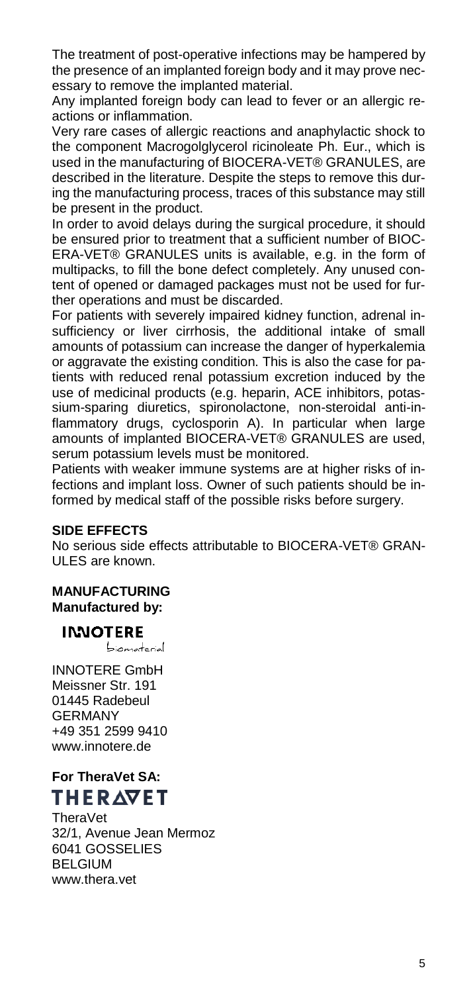The treatment of post-operative infections may be hampered by the presence of an implanted foreign body and it may prove necessary to remove the implanted material.

Any implanted foreign body can lead to fever or an allergic reactions or inflammation.

Very rare cases of allergic reactions and anaphylactic shock to the component Macrogolglycerol ricinoleate Ph. Eur., which is used in the manufacturing of BIOCERA-VET® GRANULES, are described in the literature. Despite the steps to remove this during the manufacturing process, traces of this substance may still be present in the product.

In order to avoid delays during the surgical procedure, it should be ensured prior to treatment that a sufficient number of BIOC-ERA-VET® GRANULES units is available, e.g. in the form of multipacks, to fill the bone defect completely. Any unused content of opened or damaged packages must not be used for further operations and must be discarded.

For patients with severely impaired kidney function, adrenal insufficiency or liver cirrhosis, the additional intake of small amounts of potassium can increase the danger of hyperkalemia or aggravate the existing condition. This is also the case for patients with reduced renal potassium excretion induced by the use of medicinal products (e.g. heparin, ACE inhibitors, potassium-sparing diuretics, spironolactone, non-steroidal anti-inflammatory drugs, cyclosporin A). In particular when large amounts of implanted BIOCERA-VET® GRANULES are used, serum potassium levels must be monitored.

Patients with weaker immune systems are at higher risks of infections and implant loss. Owner of such patients should be informed by medical staff of the possible risks before surgery.

#### **SIDE EFFECTS**

No serious side effects attributable to BIOCERA-VET® GRAN-ULES are known.

**MANUFACTURING Manufactured by:** 

## **INNOTERE**

biomaterial

INNOTERE GmbH Meissner Str. 191 01445 Radebeul GERMANY +49 351 2599 9410 www.innotere.de

## **For TheraVet SA: THERAVET**

TheraVet 32/1, Avenue Jean Mermoz 6041 GOSSELIES BELGIUM www.thera.vet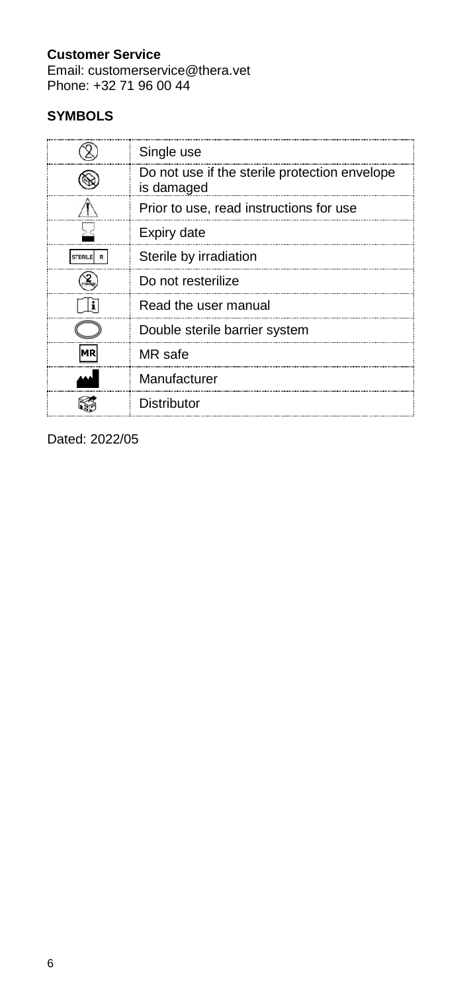## **Customer Service**

Email: customerservice@thera.vet Phone: +32 71 96 00 44

## **SYMBOLS**

| Single use                                                  |
|-------------------------------------------------------------|
| Do not use if the sterile protection envelope<br>is damaged |
| Prior to use, read instructions for use                     |
| Expiry date                                                 |
| Sterile by irradiation                                      |
| Do not resterilize                                          |
| Read the user manual                                        |
| Double sterile barrier system                               |
| MR safe                                                     |
| Manufacturer                                                |
| Distributor                                                 |

Dated: 2022/05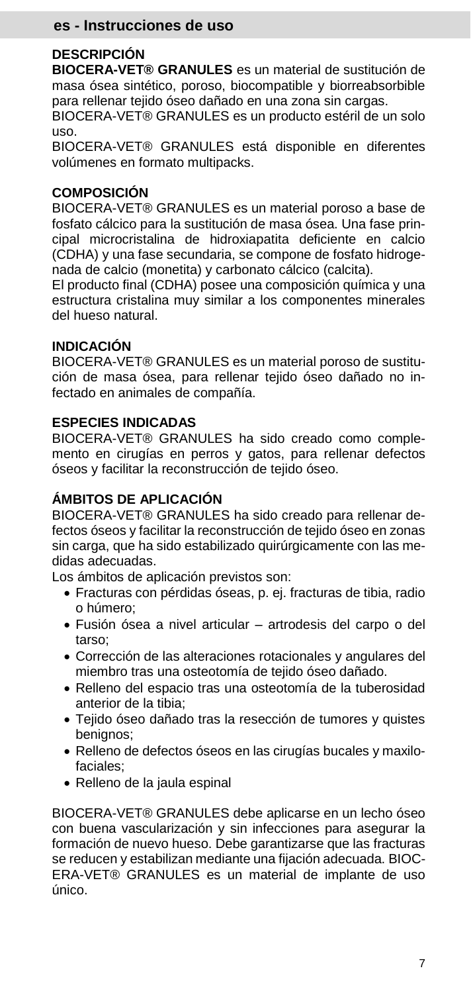#### **es - Instrucciones de uso**

#### **DESCRIPCIÓN**

**BIOCERA-VET® GRANULES** es un material de sustitución de masa ósea sintético, poroso, biocompatible y biorreabsorbible para rellenar tejido óseo dañado en una zona sin cargas.

BIOCERA-VET® GRANULES es un producto estéril de un solo uso.

BIOCERA-VET® GRANULES está disponible en diferentes volúmenes en formato multipacks.

#### **COMPOSICIÓN**

BIOCERA-VET® GRANULES es un material poroso a base de fosfato cálcico para la sustitución de masa ósea. Una fase principal microcristalina de hidroxiapatita deficiente en calcio (CDHA) y una fase secundaria, se compone de fosfato hidrogenada de calcio (monetita) y carbonato cálcico (calcita).

El producto final (CDHA) posee una composición química y una estructura cristalina muy similar a los componentes minerales del hueso natural.

#### **INDICACIÓN**

BIOCERA-VET® GRANULES es un material poroso de sustitución de masa ósea, para rellenar tejido óseo dañado no infectado en animales de compañía.

#### **ESPECIES INDICADAS**

BIOCERA-VET® GRANULES ha sido creado como complemento en cirugías en perros y gatos, para rellenar defectos óseos y facilitar la reconstrucción de tejido óseo.

#### **ÁMBITOS DE APLICACIÓN**

BIOCERA-VET® GRANULES ha sido creado para rellenar defectos óseos y facilitar la reconstrucción de tejido óseo en zonas sin carga, que ha sido estabilizado quirúrgicamente con las medidas adecuadas.

Los ámbitos de aplicación previstos son:

- Fracturas con pérdidas óseas, p. ej. fracturas de tibia, radio o húmero;
- Fusión ósea a nivel articular artrodesis del carpo o del tarso;
- Corrección de las alteraciones rotacionales y angulares del miembro tras una osteotomía de tejido óseo dañado.
- Relleno del espacio tras una osteotomía de la tuberosidad anterior de la tibia;
- Tejido óseo dañado tras la resección de tumores y quistes benignos;
- Relleno de defectos óseos en las cirugías bucales y maxilofaciales;
- Relleno de la jaula espinal

BIOCERA-VET® GRANULES debe aplicarse en un lecho óseo con buena vascularización y sin infecciones para asegurar la formación de nuevo hueso. Debe garantizarse que las fracturas se reducen y estabilizan mediante una fijación adecuada. BIOC-ERA-VET® GRANULES es un material de implante de uso único.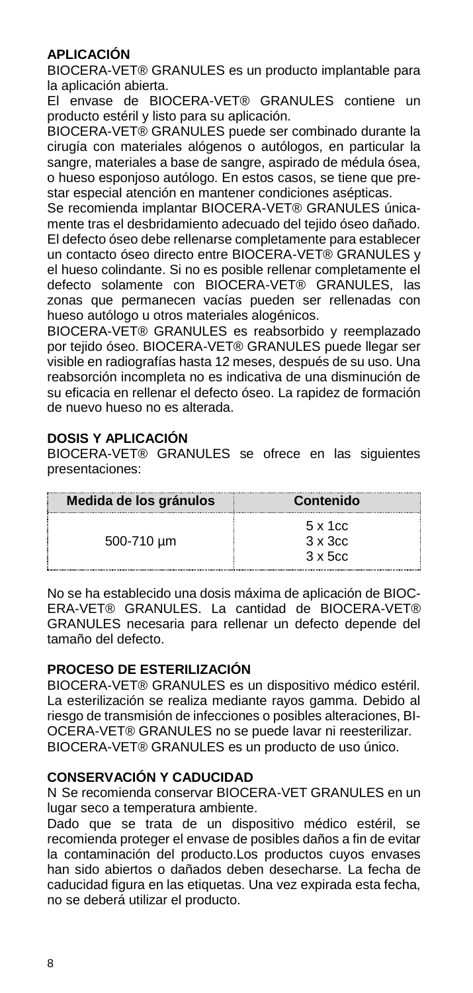#### **APLICACIÓN**

BIOCERA-VET® GRANULES es un producto implantable para la aplicación abierta.

El envase de BIOCERA-VET® GRANULES contiene un producto estéril y listo para su aplicación.

BIOCERA-VET® GRANULES puede ser combinado durante la cirugía con materiales alógenos o autólogos, en particular la sangre, materiales a base de sangre, aspirado de médula ósea, o hueso esponjoso autólogo. En estos casos, se tiene que prestar especial atención en mantener condiciones asépticas.

Se recomienda implantar BIOCERA-VET® GRANULES únicamente tras el desbridamiento adecuado del tejido óseo dañado. El defecto óseo debe rellenarse completamente para establecer un contacto óseo directo entre BIOCERA-VET® GRANULES y el hueso colindante. Si no es posible rellenar completamente el defecto solamente con BIOCERA-VET® GRANULES, las zonas que permanecen vacías pueden ser rellenadas con hueso autólogo u otros materiales alogénicos.

BIOCERA-VET® GRANULES es reabsorbido y reemplazado por tejido óseo. BIOCERA-VET® GRANULES puede llegar ser visible en radiografías hasta 12 meses, después de su uso. Una reabsorción incompleta no es indicativa de una disminución de su eficacia en rellenar el defecto óseo. La rapidez de formación de nuevo hueso no es alterada.

#### **DOSIS Y APLICACIÓN**

BIOCERA-VET® GRANULES se ofrece en las siguientes presentaciones:

| Medida de los gránulos | Contenido                                             |
|------------------------|-------------------------------------------------------|
| 500-710 um             | $5 \times 1$ cc<br>$3 \times 3$ cc<br>$3 \times 5$ cc |

No se ha establecido una dosis máxima de aplicación de BIOC-ERA-VET® GRANULES. La cantidad de BIOCERA-VET® GRANULES necesaria para rellenar un defecto depende del tamaño del defecto.

#### **PROCESO DE ESTERILIZACIÓN**

BIOCERA-VET® GRANULES es un dispositivo médico estéril. La esterilización se realiza mediante rayos gamma. Debido al riesgo de transmisión de infecciones o posibles alteraciones, BI-OCERA-VET® GRANULES no se puede lavar ni reesterilizar. BIOCERA-VET® GRANULES es un producto de uso único.

#### **CONSERVACIÓN Y CADUCIDAD**

N Se recomienda conservar BIOCERA-VET GRANULES en un lugar seco a temperatura ambiente.

Dado que se trata de un dispositivo médico estéril, se recomienda proteger el envase de posibles daños a fin de evitar la contaminación del producto.Los productos cuyos envases han sido abiertos o dañados deben desecharse. La fecha de caducidad figura en las etiquetas. Una vez expirada esta fecha, no se deberá utilizar el producto.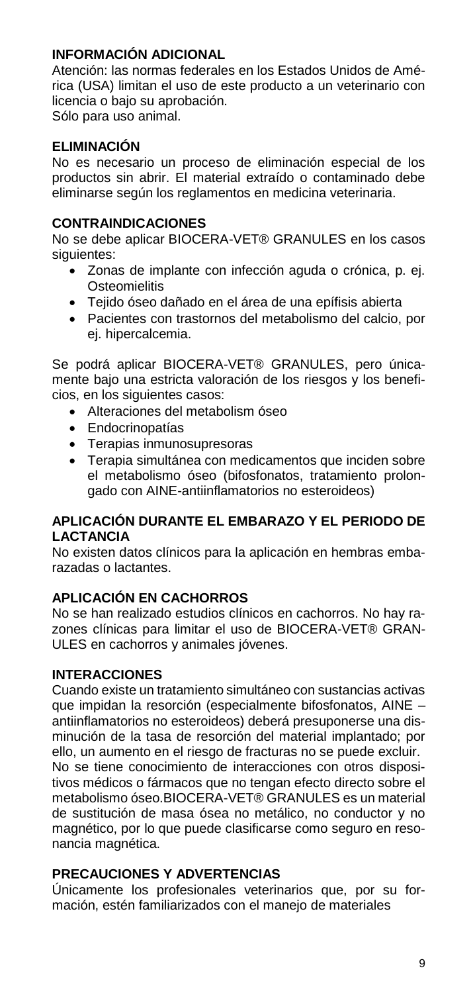#### **INFORMACIÓN ADICIONAL**

Atención: las normas federales en los Estados Unidos de América (USA) limitan el uso de este producto a un veterinario con licencia o bajo su aprobación. Sólo para uso animal.

#### **ELIMINACIÓN**

No es necesario un proceso de eliminación especial de los productos sin abrir. El material extraído o contaminado debe eliminarse según los reglamentos en medicina veterinaria.

#### **CONTRAINDICACIONES**

No se debe aplicar BIOCERA-VET® GRANULES en los casos siguientes:

- Zonas de implante con infección aguda o crónica, p. ej. **Osteomielitis**
- Tejido óseo dañado en el área de una epífisis abierta
- Pacientes con trastornos del metabolismo del calcio, por ej. hipercalcemia.

Se podrá aplicar BIOCERA-VET® GRANULES, pero únicamente bajo una estricta valoración de los riesgos y los beneficios, en los siguientes casos:

- Alteraciones del metabolism óseo
- Endocrinopatías
- Terapias inmunosupresoras
- Terapia simultánea con medicamentos que inciden sobre el metabolismo óseo (bifosfonatos, tratamiento prolongado con AINE-antiinflamatorios no esteroideos)

#### **APLICACIÓN DURANTE EL EMBARAZO Y EL PERIODO DE LACTANCIA**

No existen datos clínicos para la aplicación en hembras embarazadas o lactantes.

#### **APLICACIÓN EN CACHORROS**

No se han realizado estudios clínicos en cachorros. No hay razones clínicas para limitar el uso de BIOCERA-VET® GRAN-ULES en cachorros y animales jóvenes.

#### **INTERACCIONES**

Cuando existe un tratamiento simultáneo con sustancias activas que impidan la resorción (especialmente bifosfonatos, AINE – antiinflamatorios no esteroideos) deberá presuponerse una disminución de la tasa de resorción del material implantado; por ello, un aumento en el riesgo de fracturas no se puede excluir. No se tiene conocimiento de interacciones con otros dispositivos médicos o fármacos que no tengan efecto directo sobre el metabolismo óseo.BIOCERA-VET® GRANULES es un material de sustitución de masa ósea no metálico, no conductor y no magnético, por lo que puede clasificarse como seguro en resonancia magnética.

#### **PRECAUCIONES Y ADVERTENCIAS**

Únicamente los profesionales veterinarios que, por su formación, estén familiarizados con el manejo de materiales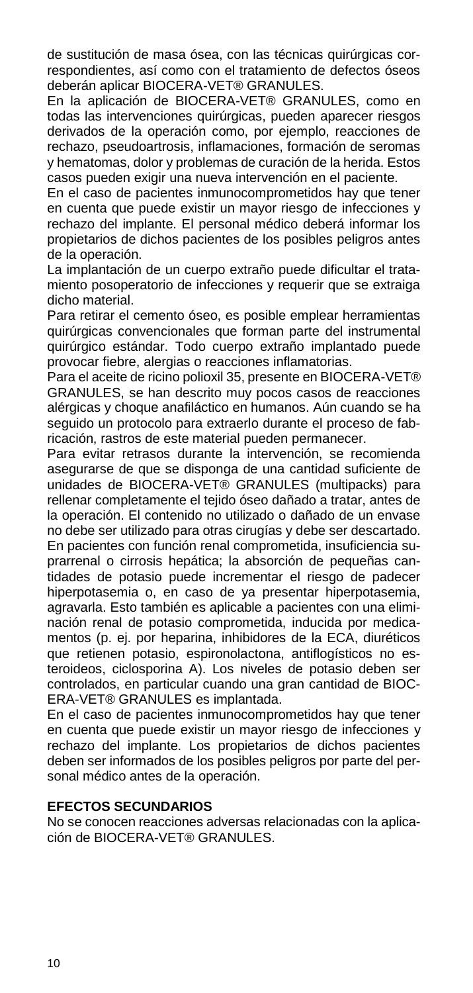de sustitución de masa ósea, con las técnicas quirúrgicas correspondientes, así como con el tratamiento de defectos óseos deberán aplicar BIOCERA-VET® GRANULES.

En la aplicación de BIOCERA-VET® GRANULES, como en todas las intervenciones quirúrgicas, pueden aparecer riesgos derivados de la operación como, por ejemplo, reacciones de rechazo, pseudoartrosis, inflamaciones, formación de seromas y hematomas, dolor y problemas de curación de la herida. Estos casos pueden exigir una nueva intervención en el paciente.

En el caso de pacientes inmunocomprometidos hay que tener en cuenta que puede existir un mayor riesgo de infecciones y rechazo del implante. El personal médico deberá informar los propietarios de dichos pacientes de los posibles peligros antes de la operación.

La implantación de un cuerpo extraño puede dificultar el tratamiento posoperatorio de infecciones y requerir que se extraiga dicho material.

Para retirar el cemento óseo, es posible emplear herramientas quirúrgicas convencionales que forman parte del instrumental quirúrgico estándar. Todo cuerpo extraño implantado puede provocar fiebre, alergias o reacciones inflamatorias.

Para el aceite de ricino polioxil 35, presente en BIOCERA-VET® GRANULES, se han descrito muy pocos casos de reacciones alérgicas y choque anafiláctico en humanos. Aún cuando se ha seguido un protocolo para extraerlo durante el proceso de fabricación, rastros de este material pueden permanecer.

Para evitar retrasos durante la intervención, se recomienda asegurarse de que se disponga de una cantidad suficiente de unidades de BIOCERA-VET® GRANULES (multipacks) para rellenar completamente el tejido óseo dañado a tratar, antes de la operación. El contenido no utilizado o dañado de un envase no debe ser utilizado para otras cirugías y debe ser descartado. En pacientes con función renal comprometida, insuficiencia suprarrenal o cirrosis hepática; la absorción de pequeñas cantidades de potasio puede incrementar el riesgo de padecer hiperpotasemia o, en caso de ya presentar hiperpotasemia, agravarla. Esto también es aplicable a pacientes con una eliminación renal de potasio comprometida, inducida por medicamentos (p. ej. por heparina, inhibidores de la ECA, diuréticos que retienen potasio, espironolactona, antiflogísticos no esteroideos, ciclosporina A). Los niveles de potasio deben ser controlados, en particular cuando una gran cantidad de BIOC-ERA-VET® GRANULES es implantada.

En el caso de pacientes inmunocomprometidos hay que tener en cuenta que puede existir un mayor riesgo de infecciones y rechazo del implante. Los propietarios de dichos pacientes deben ser informados de los posibles peligros por parte del personal médico antes de la operación.

#### **EFECTOS SECUNDARIOS**

No se conocen reacciones adversas relacionadas con la aplicación de BIOCERA-VET® GRANULES.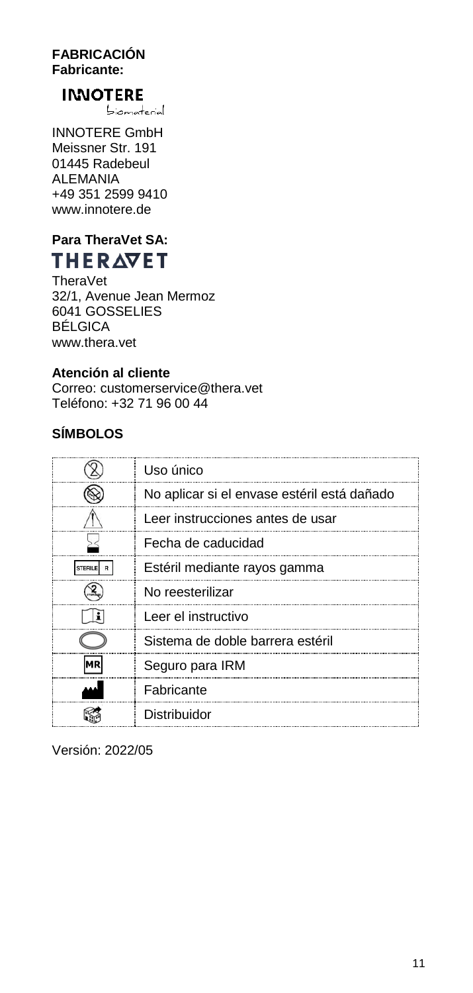#### **FABRICACIÓN Fabricante:**

## **INNOTERE**

biomaterial

INNOTERE GmbH Meissner Str. 191 01445 Radebeul **ALEMANIA** +49 351 2599 9410 www.innotere.de

## **Para TheraVet SA:** THERAVET

TheraVet 32/1, Avenue Jean Mermoz 6041 GOSSELIES BÉLGICA www.thera.vet

#### **Atención al cliente**

Correo: customerservice@thera.vet Teléfono: +32 71 96 00 44

## **SÍMBOLOS**

| Uso único                                   |
|---------------------------------------------|
| No aplicar si el envase estéril está dañado |
| Leer instrucciones antes de usar            |
| Fecha de caducidad                          |
| Estéril mediante rayos gamma                |
| No reesterilizar                            |
| Leer el instructivo                         |
| Sistema de doble barrera estéril            |
| Seguro para IRM                             |
| Fabricante                                  |
| Distribuidor                                |

Versión: 2022/05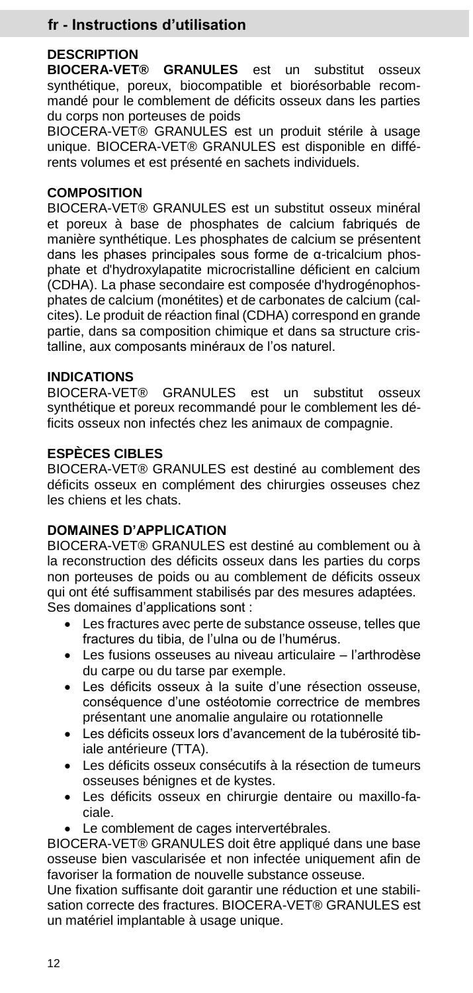### **fr - Instructions d'utilisation**

#### **DESCRIPTION**

**BIOCERA-VET® GRANULES** est un substitut osseux synthétique, poreux, biocompatible et biorésorbable recommandé pour le comblement de déficits osseux dans les parties du corps non porteuses de poids

BIOCERA-VET® GRANULES est un produit stérile à usage unique. BIOCERA-VET® GRANULES est disponible en différents volumes et est présenté en sachets individuels.

#### **COMPOSITION**

BIOCERA-VET® GRANULES est un substitut osseux minéral et poreux à base de phosphates de calcium fabriqués de manière synthétique. Les phosphates de calcium se présentent dans les phases principales sous forme de α-tricalcium phosphate et d'hydroxylapatite microcristalline déficient en calcium (CDHA). La phase secondaire est composée d'hydrogénophosphates de calcium (monétites) et de carbonates de calcium (calcites). Le produit de réaction final (CDHA) correspond en grande partie, dans sa composition chimique et dans sa structure cristalline, aux composants minéraux de l'os naturel.

#### **INDICATIONS**

BIOCERA-VET® GRANULES est un substitut osseux synthétique et poreux recommandé pour le comblement les déficits osseux non infectés chez les animaux de compagnie.

#### **ESPÈCES CIBLES**

BIOCERA-VET® GRANULES est destiné au comblement des déficits osseux en complément des chirurgies osseuses chez les chiens et les chats.

#### **DOMAINES D'APPLICATION**

BIOCERA-VET® GRANULES est destiné au comblement ou à la reconstruction des déficits osseux dans les parties du corps non porteuses de poids ou au comblement de déficits osseux qui ont été suffisamment stabilisés par des mesures adaptées. Ses domaines d'applications sont :

- Les fractures avec perte de substance osseuse, telles que fractures du tibia, de l'ulna ou de l'humérus.
- Les fusions osseuses au niveau articulaire l'arthrodèse du carpe ou du tarse par exemple.
- Les déficits osseux à la suite d'une résection osseuse, conséquence d'une ostéotomie correctrice de membres présentant une anomalie angulaire ou rotationnelle
- Les déficits osseux lors d'avancement de la tubérosité tibiale antérieure (TTA).
- Les déficits osseux consécutifs à la résection de tumeurs osseuses bénignes et de kystes.
- Les déficits osseux en chirurgie dentaire ou maxillo-faciale.
- Le comblement de cages intervertébrales.

BIOCERA-VET® GRANULES doit être appliqué dans une base osseuse bien vascularisée et non infectée uniquement afin de favoriser la formation de nouvelle substance osseuse.

Une fixation suffisante doit garantir une réduction et une stabilisation correcte des fractures. BIOCERA-VET® GRANULES est un matériel implantable à usage unique.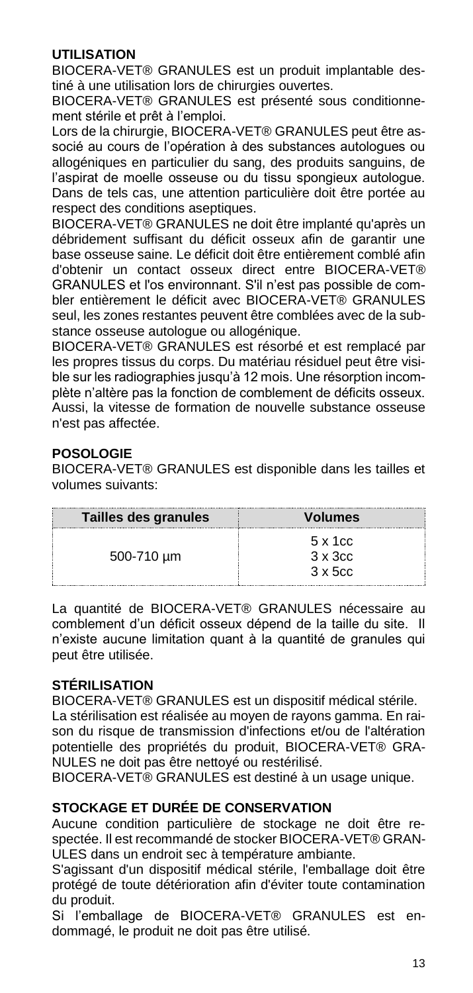#### **UTILISATION**

BIOCERA-VET® GRANULES est un produit implantable destiné à une utilisation lors de chirurgies ouvertes.

BIOCERA-VET® GRANULES est présenté sous conditionnement stérile et prêt à l'emploi.

Lors de la chirurgie, BIOCERA-VET® GRANULES peut être associé au cours de l'opération à des substances autologues ou allogéniques en particulier du sang, des produits sanguins, de l'aspirat de moelle osseuse ou du tissu spongieux autologue. Dans de tels cas, une attention particulière doit être portée au respect des conditions aseptiques.

BIOCERA-VET® GRANULES ne doit être implanté qu'après un débridement suffisant du déficit osseux afin de garantir une base osseuse saine. Le déficit doit être entièrement comblé afin d'obtenir un contact osseux direct entre BIOCERA-VET® GRANULES et l'os environnant. S'il n'est pas possible de combler entièrement le déficit avec BIOCERA-VET® GRANULES seul, les zones restantes peuvent être comblées avec de la substance osseuse autologue ou allogénique.

BIOCERA-VET® GRANULES est résorbé et est remplacé par les propres tissus du corps. Du matériau résiduel peut être visible sur les radiographies jusqu'à 12 mois. Une résorption incomplète n'altère pas la fonction de comblement de déficits osseux. Aussi, la vitesse de formation de nouvelle substance osseuse n'est pas affectée.

#### **POSOLOGIE**

BIOCERA-VET® GRANULES est disponible dans les tailles et volumes suivants:

| Tailles des granules | <b>Volumes</b>  |
|----------------------|-----------------|
|                      | 5 x 1 cc        |
| 500-710 um           | $3 \times 3$ cc |
|                      | $3 \times 5$ cc |

La quantité de BIOCERA-VET® GRANULES nécessaire au comblement d'un déficit osseux dépend de la taille du site. Il n'existe aucune limitation quant à la quantité de granules qui peut être utilisée.

#### **STÉRILISATION**

BIOCERA-VET® GRANULES est un dispositif médical stérile. La stérilisation est réalisée au moyen de rayons gamma. En raison du risque de transmission d'infections et/ou de l'altération potentielle des propriétés du produit, BIOCERA-VET® GRA-NULES ne doit pas être nettoyé ou restérilisé.

BIOCERA-VET® GRANULES est destiné à un usage unique.

#### **STOCKAGE ET DURÉE DE CONSERVATION**

Aucune condition particulière de stockage ne doit être respectée. Il est recommandé de stocker BIOCERA-VET® GRAN-ULES dans un endroit sec à température ambiante.

S'agissant d'un dispositif médical stérile, l'emballage doit être protégé de toute détérioration afin d'éviter toute contamination du produit.

Si l'emballage de BIOCERA-VET® GRANULES est endommagé, le produit ne doit pas être utilisé.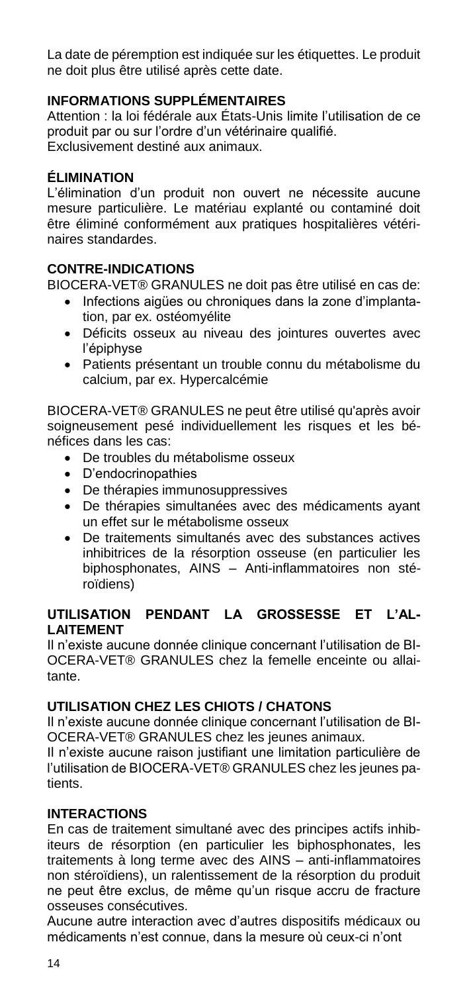La date de péremption est indiquée sur les étiquettes. Le produit ne doit plus être utilisé après cette date.

#### **INFORMATIONS SUPPLÉMENTAIRES**

Attention : la loi fédérale aux États-Unis limite l'utilisation de ce produit par ou sur l'ordre d'un vétérinaire qualifié. Exclusivement destiné aux animaux.

#### **ÉLIMINATION**

L'élimination d'un produit non ouvert ne nécessite aucune mesure particulière. Le matériau explanté ou contaminé doit être éliminé conformément aux pratiques hospitalières vétérinaires standardes.

#### **CONTRE-INDICATIONS**

BIOCERA-VET® GRANULES ne doit pas être utilisé en cas de:

- Infections aigües ou chroniques dans la zone d'implantation, par ex. ostéomyélite
- Déficits osseux au niveau des jointures ouvertes avec l'épiphyse
- Patients présentant un trouble connu du métabolisme du calcium, par ex. Hypercalcémie

BIOCERA-VET® GRANULES ne peut être utilisé qu'après avoir soigneusement pesé individuellement les risques et les bénéfices dans les cas:

- De troubles du métabolisme osseux
- D'endocrinopathies
- De thérapies immunosuppressives
- De thérapies simultanées avec des médicaments ayant un effet sur le métabolisme osseux
- De traitements simultanés avec des substances actives inhibitrices de la résorption osseuse (en particulier les biphosphonates, AINS – Anti-inflammatoires non stéroïdiens)

#### **UTILISATION PENDANT LA GROSSESSE ET L'AL-LAITEMENT**

Il n'existe aucune donnée clinique concernant l'utilisation de BI-OCERA-VET® GRANULES chez la femelle enceinte ou allaitante.

#### **UTILISATION CHEZ LES CHIOTS / CHATONS**

Il n'existe aucune donnée clinique concernant l'utilisation de BI-OCERA-VET® GRANULES chez les jeunes animaux.

Il n'existe aucune raison justifiant une limitation particulière de l'utilisation de BIOCERA-VET® GRANULES chez les jeunes patients.

#### **INTERACTIONS**

En cas de traitement simultané avec des principes actifs inhibiteurs de résorption (en particulier les biphosphonates, les traitements à long terme avec des AINS – anti-inflammatoires non stéroïdiens), un ralentissement de la résorption du produit ne peut être exclus, de même qu'un risque accru de fracture osseuses consécutives.

Aucune autre interaction avec d'autres dispositifs médicaux ou médicaments n'est connue, dans la mesure où ceux-ci n'ont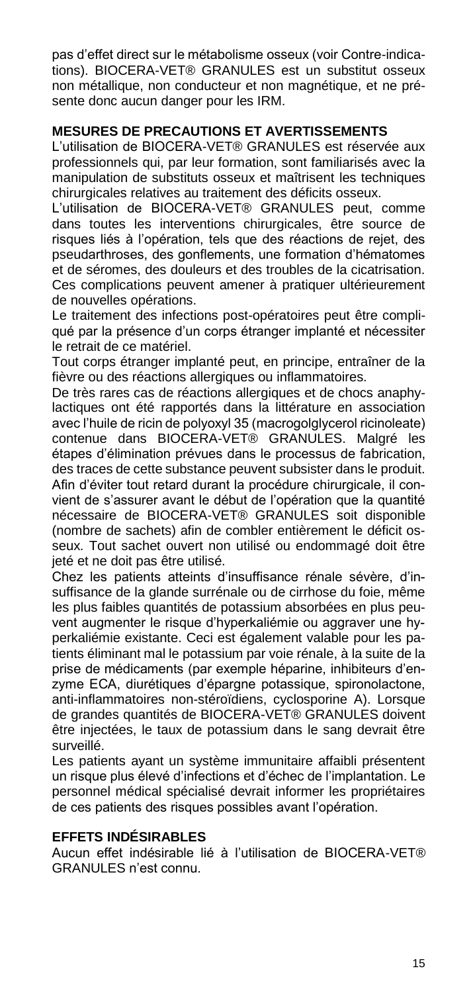pas d'effet direct sur le métabolisme osseux (voir Contre-indications). BIOCERA-VET® GRANULES est un substitut osseux non métallique, non conducteur et non magnétique, et ne présente donc aucun danger pour les IRM.

#### **MESURES DE PRECAUTIONS ET AVERTISSEMENTS**

L'utilisation de BIOCERA-VET® GRANULES est réservée aux professionnels qui, par leur formation, sont familiarisés avec la manipulation de substituts osseux et maîtrisent les techniques chirurgicales relatives au traitement des déficits osseux.

L'utilisation de BIOCERA-VET® GRANULES peut, comme dans toutes les interventions chirurgicales, être source de risques liés à l'opération, tels que des réactions de rejet, des pseudarthroses, des gonflements, une formation d'hématomes et de séromes, des douleurs et des troubles de la cicatrisation. Ces complications peuvent amener à pratiquer ultérieurement de nouvelles opérations.

Le traitement des infections post-opératoires peut être compliqué par la présence d'un corps étranger implanté et nécessiter le retrait de ce matériel.

Tout corps étranger implanté peut, en principe, entraîner de la fièvre ou des réactions allergiques ou inflammatoires.

De très rares cas de réactions allergiques et de chocs anaphylactiques ont été rapportés dans la littérature en association avec l'huile de ricin de polyoxyl 35 (macrogolgivcerol ricinoleate) contenue dans BIOCERA-VET® GRANULES. Malgré les étapes d'élimination prévues dans le processus de fabrication, des traces de cette substance peuvent subsister dans le produit. Afin d'éviter tout retard durant la procédure chirurgicale, il convient de s'assurer avant le début de l'opération que la quantité nécessaire de BIOCERA-VET® GRANULES soit disponible (nombre de sachets) afin de combler entièrement le déficit osseux. Tout sachet ouvert non utilisé ou endommagé doit être jeté et ne doit pas être utilisé.

Chez les patients atteints d'insuffisance rénale sévère, d'insuffisance de la glande surrénale ou de cirrhose du foie, même les plus faibles quantités de potassium absorbées en plus peuvent augmenter le risque d'hyperkaliémie ou aggraver une hyperkaliémie existante. Ceci est également valable pour les patients éliminant mal le potassium par voie rénale, à la suite de la prise de médicaments (par exemple héparine, inhibiteurs d'enzyme ECA, diurétiques d'épargne potassique, spironolactone, anti-inflammatoires non-stéroïdiens, cyclosporine A). Lorsque de grandes quantités de BIOCERA-VET® GRANULES doivent être injectées, le taux de potassium dans le sang devrait être surveillé.

Les patients ayant un système immunitaire affaibli présentent un risque plus élevé d'infections et d'échec de l'implantation. Le personnel médical spécialisé devrait informer les propriétaires de ces patients des risques possibles avant l'opération.

#### **EFFETS INDÉSIRABLES**

Aucun effet indésirable lié à l'utilisation de BIOCERA-VET® GRANULES n'est connu.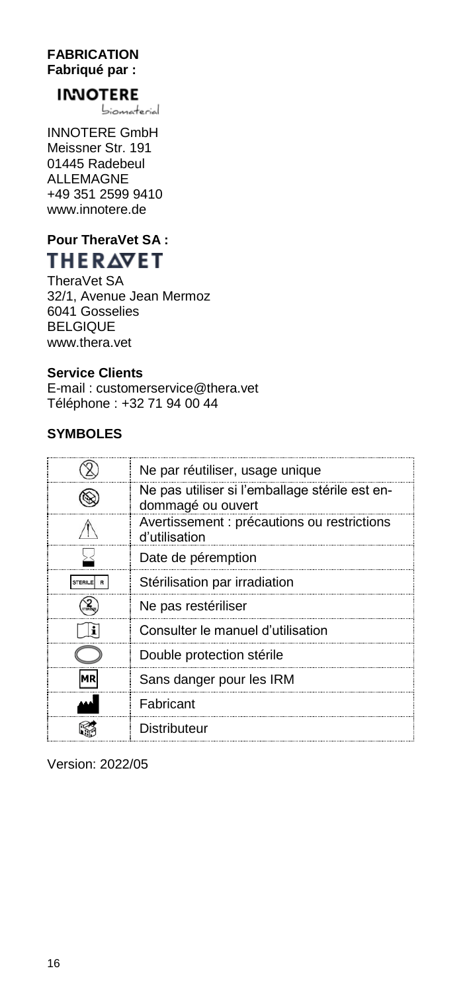#### **FABRICATION Fabriqué par :**

## **INNOTERE**

biomaterial

INNOTERE GmbH Meissner Str. 191 01445 Radebeul ALLEMAGNE +49 351 2599 9410 www.innotere.de

## **Pour TheraVet SA :** THERAVET

TheraVet SA 32/1, Avenue Jean Mermoz 6041 Gosselies BELGIQUE www.thera.vet

### **Service Clients**

E-mail : customerservice@thera.vet Téléphone : +32 71 94 00 44

#### **SYMBOLES**

| Ne par réutiliser, usage unique                                     |
|---------------------------------------------------------------------|
| Ne pas utiliser si l'emballage stérile est en-<br>dommagé ou ouvert |
| Avertissement : précautions ou restrictions<br>d'utilisation        |
| Date de péremption                                                  |
| Stérilisation par irradiation                                       |
| Ne pas restériliser                                                 |
| Consulter le manuel d'utilisation                                   |
| Double protection stérile                                           |
| Sans danger pour les IRM                                            |
| Fabricant                                                           |
| Distributeur                                                        |

Version: 2022/05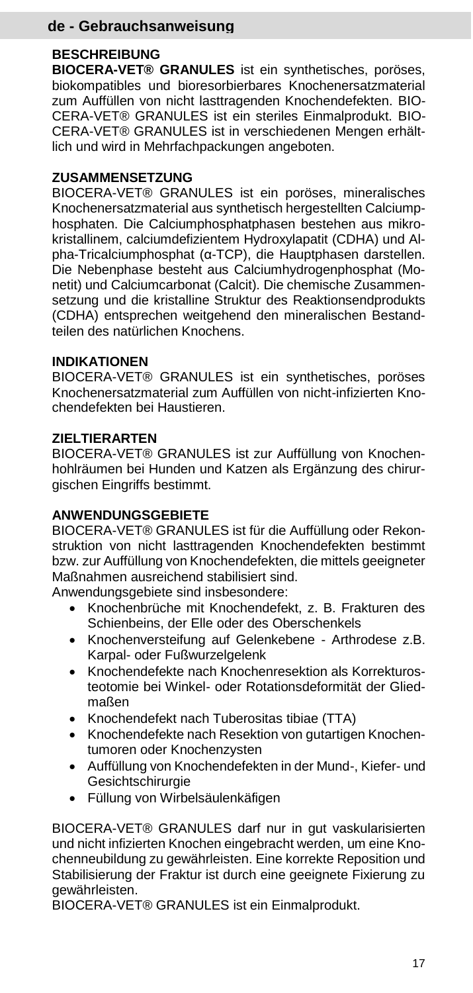## **de - Gebrauchsanweisung**

#### **BESCHREIBUNG**

**BIOCERA-VET® GRANULES** ist ein synthetisches, poröses, biokompatibles und bioresorbierbares Knochenersatzmaterial zum Auffüllen von nicht lasttragenden Knochendefekten. BIO-CERA-VET® GRANULES ist ein steriles Einmalprodukt. BIO-CERA-VET® GRANULES ist in verschiedenen Mengen erhältlich und wird in Mehrfachpackungen angeboten.

#### **ZUSAMMENSETZUNG**

BIOCERA-VET® GRANULES ist ein poröses, mineralisches Knochenersatzmaterial aus synthetisch hergestellten Calciumphosphaten. Die Calciumphosphatphasen bestehen aus mikrokristallinem, calciumdefizientem Hydroxylapatit (CDHA) und Alpha-Tricalciumphosphat (α-TCP), die Hauptphasen darstellen. Die Nebenphase besteht aus Calciumhydrogenphosphat (Monetit) und Calciumcarbonat (Calcit). Die chemische Zusammensetzung und die kristalline Struktur des Reaktionsendprodukts (CDHA) entsprechen weitgehend den mineralischen Bestandteilen des natürlichen Knochens.

#### **INDIKATIONEN**

BIOCERA-VET® GRANULES ist ein synthetisches, poröses Knochenersatzmaterial zum Auffüllen von nicht-infizierten Knochendefekten bei Haustieren.

#### **ZIELTIERARTEN**

BIOCERA-VET® GRANULES ist zur Auffüllung von Knochenhohlräumen bei Hunden und Katzen als Ergänzung des chirurgischen Eingriffs bestimmt.

#### **ANWENDUNGSGEBIETE**

BIOCERA-VET® GRANULES ist für die Auffüllung oder Rekonstruktion von nicht lasttragenden Knochendefekten bestimmt bzw. zur Auffüllung von Knochendefekten, die mittels geeigneter Maßnahmen ausreichend stabilisiert sind.

Anwendungsgebiete sind insbesondere:

- Knochenbrüche mit Knochendefekt, z. B. Frakturen des Schienbeins, der Elle oder des Oberschenkels
- Knochenversteifung auf Gelenkebene Arthrodese z.B. Karpal- oder Fußwurzelgelenk
- Knochendefekte nach Knochenresektion als Korrekturosteotomie bei Winkel- oder Rotationsdeformität der Gliedmaßen
- Knochendefekt nach Tuberositas tibiae (TTA)
- Knochendefekte nach Resektion von gutartigen Knochentumoren oder Knochenzysten
- Auffüllung von Knochendefekten in der Mund-, Kiefer- und **Gesichtschirurgie**
- Füllung von Wirbelsäulenkäfigen

BIOCERA-VET® GRANULES darf nur in gut vaskularisierten und nicht infizierten Knochen eingebracht werden, um eine Knochenneubildung zu gewährleisten. Eine korrekte Reposition und Stabilisierung der Fraktur ist durch eine geeignete Fixierung zu gewährleisten.

BIOCERA-VET® GRANULES ist ein Einmalprodukt.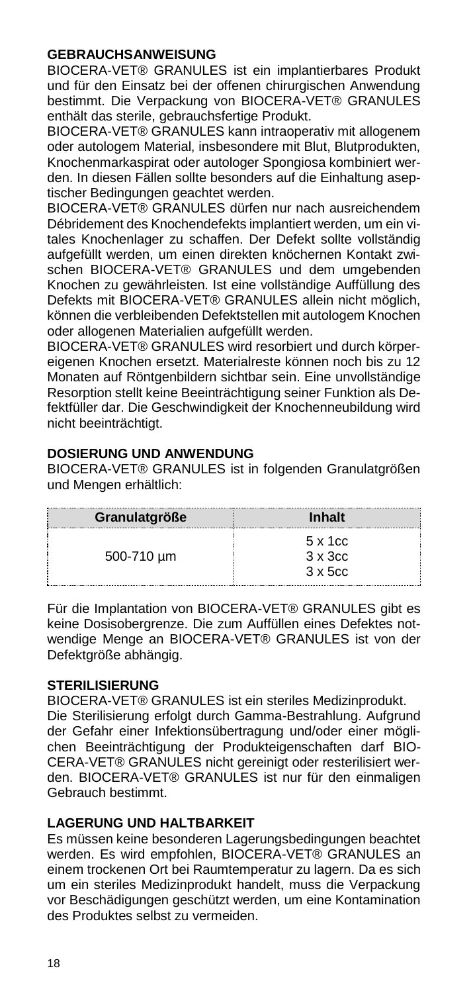#### **GEBRAUCHSANWEISUNG**

BIOCERA-VET® GRANULES ist ein implantierbares Produkt und für den Einsatz bei der offenen chirurgischen Anwendung bestimmt. Die Verpackung von BIOCERA-VET® GRANULES enthält das sterile, gebrauchsfertige Produkt.

BIOCERA-VET® GRANULES kann intraoperativ mit allogenem oder autologem Material, insbesondere mit Blut, Blutprodukten, Knochenmarkaspirat oder autologer Spongiosa kombiniert werden. In diesen Fällen sollte besonders auf die Einhaltung aseptischer Bedingungen geachtet werden.

BIOCERA-VET® GRANULES dürfen nur nach ausreichendem Débridement des Knochendefekts implantiert werden, um ein vitales Knochenlager zu schaffen. Der Defekt sollte vollständig aufgefüllt werden, um einen direkten knöchernen Kontakt zwischen BIOCERA-VET® GRANULES und dem umgebenden Knochen zu gewährleisten. Ist eine vollständige Auffüllung des Defekts mit BIOCERA-VET® GRANULES allein nicht möglich, können die verbleibenden Defektstellen mit autologem Knochen oder allogenen Materialien aufgefüllt werden.

BIOCERA-VET® GRANULES wird resorbiert und durch körpereigenen Knochen ersetzt. Materialreste können noch bis zu 12 Monaten auf Röntgenbildern sichtbar sein. Eine unvollständige Resorption stellt keine Beeinträchtigung seiner Funktion als Defektfüller dar. Die Geschwindigkeit der Knochenneubildung wird nicht beeinträchtigt.

#### **DOSIERUNG UND ANWENDUNG**

BIOCERA-VET® GRANULES ist in folgenden Granulatgrößen und Mengen erhältlich:

| Granulatgröße | <b>Inhalt</b>                      |
|---------------|------------------------------------|
| 500-710 um    | $5 \times 1$ cc<br>$3 \times 3$ cc |
|               | $3 \times 5c$                      |

Für die Implantation von BIOCERA-VET® GRANULES gibt es keine Dosisobergrenze. Die zum Auffüllen eines Defektes notwendige Menge an BIOCERA-VET® GRANULES ist von der Defektgröße abhängig.

#### **STERILISIERUNG**

BIOCERA-VET® GRANULES ist ein steriles Medizinprodukt. Die Sterilisierung erfolgt durch Gamma-Bestrahlung. Aufgrund der Gefahr einer Infektionsübertragung und/oder einer möglichen Beeinträchtigung der Produkteigenschaften darf BIO-CERA-VET® GRANULES nicht gereinigt oder resterilisiert werden. BIOCERA-VET® GRANULES ist nur für den einmaligen Gebrauch bestimmt.

#### **LAGERUNG UND HALTBARKEIT**

Es müssen keine besonderen Lagerungsbedingungen beachtet werden. Es wird empfohlen, BIOCERA-VET® GRANULES an einem trockenen Ort bei Raumtemperatur zu lagern. Da es sich um ein steriles Medizinprodukt handelt, muss die Verpackung vor Beschädigungen geschützt werden, um eine Kontamination des Produktes selbst zu vermeiden.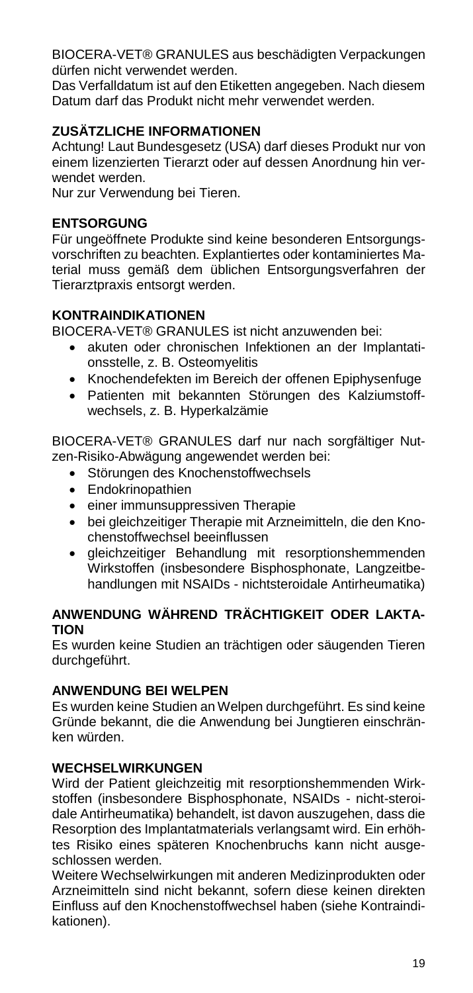BIOCERA-VET® GRANULES aus beschädigten Verpackungen dürfen nicht verwendet werden.

Das Verfalldatum ist auf den Etiketten angegeben. Nach diesem Datum darf das Produkt nicht mehr verwendet werden.

#### **ZUSÄTZLICHE INFORMATIONEN**

Achtung! Laut Bundesgesetz (USA) darf dieses Produkt nur von einem lizenzierten Tierarzt oder auf dessen Anordnung hin verwendet werden.

Nur zur Verwendung bei Tieren.

#### **ENTSORGUNG**

Für ungeöffnete Produkte sind keine besonderen Entsorgungsvorschriften zu beachten. Explantiertes oder kontaminiertes Material muss gemäß dem üblichen Entsorgungsverfahren der Tierarztpraxis entsorgt werden.

#### **KONTRAINDIKATIONEN**

BIOCERA-VET® GRANULES ist nicht anzuwenden bei:

- akuten oder chronischen Infektionen an der Implantationsstelle, z. B. Osteomyelitis
- Knochendefekten im Bereich der offenen Epiphysenfuge
- Patienten mit bekannten Störungen des Kalziumstoffwechsels, z. B. Hyperkalzämie

BIOCERA-VET® GRANULES darf nur nach sorgfältiger Nutzen-Risiko-Abwägung angewendet werden bei:

- Störungen des Knochenstoffwechsels
- Endokrinopathien
- **•** einer immunsuppressiven Therapie
- bei gleichzeitiger Therapie mit Arzneimitteln, die den Knochenstoffwechsel beeinflussen
- gleichzeitiger Behandlung mit resorptionshemmenden Wirkstoffen (insbesondere Bisphosphonate, Langzeitbehandlungen mit NSAIDs - nichtsteroidale Antirheumatika)

#### **ANWENDUNG WÄHREND TRÄCHTIGKEIT ODER LAKTA-TION**

Es wurden keine Studien an trächtigen oder säugenden Tieren durchgeführt.

#### **ANWENDUNG BEI WELPEN**

Es wurden keine Studien an Welpen durchgeführt. Es sind keine Gründe bekannt, die die Anwendung bei Jungtieren einschränken würden.

#### **WECHSELWIRKUNGEN**

Wird der Patient gleichzeitig mit resorptionshemmenden Wirkstoffen (insbesondere Bisphosphonate, NSAIDs - nicht-steroidale Antirheumatika) behandelt, ist davon auszugehen, dass die Resorption des Implantatmaterials verlangsamt wird. Ein erhöhtes Risiko eines späteren Knochenbruchs kann nicht ausgeschlossen werden.

Weitere Wechselwirkungen mit anderen Medizinprodukten oder Arzneimitteln sind nicht bekannt, sofern diese keinen direkten Einfluss auf den Knochenstoffwechsel haben (siehe Kontraindikationen).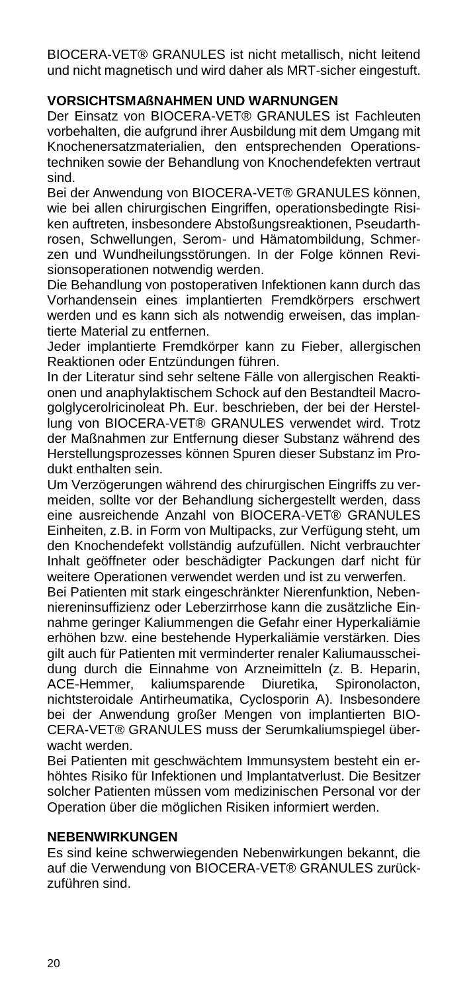BIOCERA-VET® GRANULES ist nicht metallisch, nicht leitend und nicht magnetisch und wird daher als MRT-sicher eingestuft.

#### **VORSICHTSMAßNAHMEN UND WARNUNGEN**

Der Einsatz von BIOCERA-VET® GRANULES ist Fachleuten vorbehalten, die aufgrund ihrer Ausbildung mit dem Umgang mit Knochenersatzmaterialien, den entsprechenden Operationstechniken sowie der Behandlung von Knochendefekten vertraut sind.

Bei der Anwendung von BIOCERA-VET® GRANULES können, wie bei allen chirurgischen Eingriffen, operationsbedingte Risiken auftreten, insbesondere Abstoßungsreaktionen, Pseudarthrosen, Schwellungen, Serom- und Hämatombildung, Schmerzen und Wundheilungsstörungen. In der Folge können Revisionsoperationen notwendig werden.

Die Behandlung von postoperativen Infektionen kann durch das Vorhandensein eines implantierten Fremdkörpers erschwert werden und es kann sich als notwendig erweisen, das implantierte Material zu entfernen.

Jeder implantierte Fremdkörper kann zu Fieber, allergischen Reaktionen oder Entzündungen führen.

In der Literatur sind sehr seltene Fälle von allergischen Reaktionen und anaphylaktischem Schock auf den Bestandteil Macrogolglycerolricinoleat Ph. Eur. beschrieben, der bei der Herstellung von BIOCERA-VET® GRANULES verwendet wird. Trotz der Maßnahmen zur Entfernung dieser Substanz während des Herstellungsprozesses können Spuren dieser Substanz im Produkt enthalten sein.

Um Verzögerungen während des chirurgischen Eingriffs zu vermeiden, sollte vor der Behandlung sichergestellt werden, dass eine ausreichende Anzahl von BIOCERA-VET® GRANULES Einheiten, z.B. in Form von Multipacks, zur Verfügung steht, um den Knochendefekt vollständig aufzufüllen. Nicht verbrauchter Inhalt geöffneter oder beschädigter Packungen darf nicht für weitere Operationen verwendet werden und ist zu verwerfen.

Bei Patienten mit stark eingeschränkter Nierenfunktion, Nebenniereninsuffizienz oder Leberzirrhose kann die zusätzliche Einnahme geringer Kaliummengen die Gefahr einer Hyperkaliämie erhöhen bzw. eine bestehende Hyperkaliämie verstärken. Dies gilt auch für Patienten mit verminderter renaler Kaliumausscheidung durch die Einnahme von Arzneimitteln (z. B. Heparin, ACE-Hemmer, kaliumsparende Diuretika, Spironolacton, nichtsteroidale Antirheumatika, Cyclosporin A). Insbesondere bei der Anwendung großer Mengen von implantierten BIO-CERA-VET® GRANULES muss der Serumkaliumspiegel überwacht werden.

Bei Patienten mit geschwächtem Immunsystem besteht ein erhöhtes Risiko für Infektionen und Implantatverlust. Die Besitzer solcher Patienten müssen vom medizinischen Personal vor der Operation über die möglichen Risiken informiert werden.

#### **NEBENWIRKUNGEN**

Es sind keine schwerwiegenden Nebenwirkungen bekannt, die auf die Verwendung von BIOCERA-VET® GRANULES zurückzuführen sind.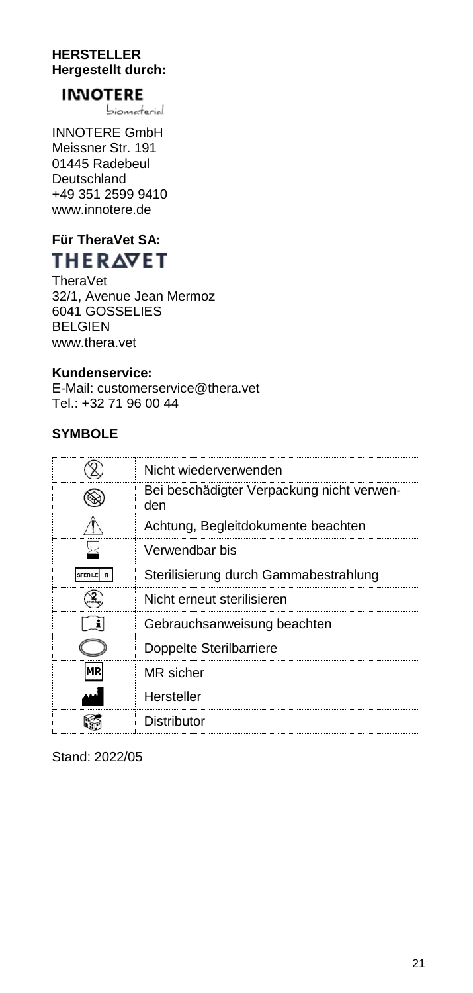#### **HERSTELLER Hergestellt durch:**

## **INNOTERE**

biomaterial

INNOTERE GmbH Meissner Str. 191 01445 Radebeul Deutschland +49 351 2599 9410 www.innotere.de

## **Für TheraVet SA: THERAVET**

TheraVet 32/1, Avenue Jean Mermoz 6041 GOSSELIES BELGIEN www.thera.vet

#### **Kundenservice:**

E-Mail: customerservice@thera.vet Tel.: +32 71 96 00 44

#### **SYMBOLE**

| Nicht wiederverwenden                            |
|--------------------------------------------------|
| Bei beschädigter Verpackung nicht verwen-<br>den |
| Achtung, Begleitdokumente beachten               |
| Verwendbar bis                                   |
| Sterilisierung durch Gammabestrahlung            |
| Nicht erneut sterilisieren                       |
| Gebrauchsanweisung beachten                      |
| Doppelte Sterilbarriere                          |
| MR sicher                                        |
| Hersteller                                       |
| Distributor                                      |

Stand: 2022/05